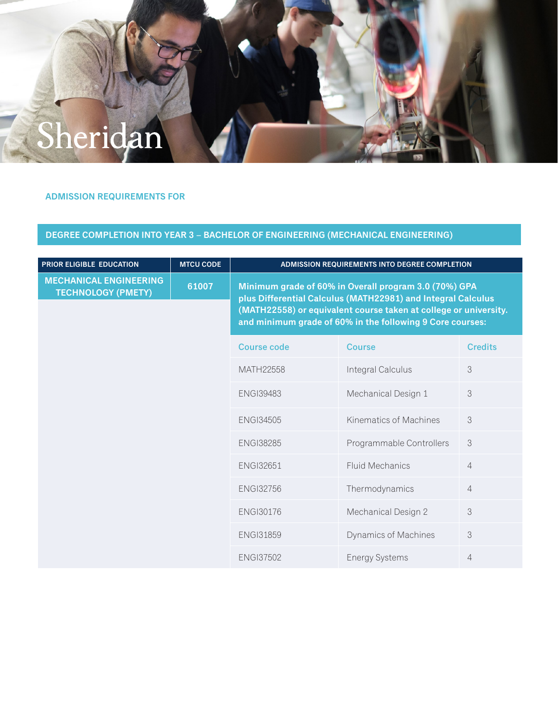

## **ADMISSION REQUIREMENTS FOR**

## **DEGREE COMPLETION INTO YEAR 3 – BACHELOR OF ENGINEERING (MECHANICAL ENGINEERING)**

| <b>PRIOR ELIGIBLE EDUCATION</b>                            | <b>MTCU CODE</b> | ADMISSION REQUIREMENTS INTO DEGREE COMPLETION                                                                                                                                                                                                          |                             |                |
|------------------------------------------------------------|------------------|--------------------------------------------------------------------------------------------------------------------------------------------------------------------------------------------------------------------------------------------------------|-----------------------------|----------------|
| <b>MECHANICAL ENGINEERING</b><br><b>TECHNOLOGY (PMETY)</b> | 61007            | Minimum grade of 60% in Overall program 3.0 (70%) GPA<br>plus Differential Calculus (MATH22981) and Integral Calculus<br>(MATH22558) or equivalent course taken at college or university.<br>and minimum grade of 60% in the following 9 Core courses: |                             |                |
|                                                            |                  | <b>Course code</b>                                                                                                                                                                                                                                     | <b>Course</b>               | <b>Credits</b> |
|                                                            |                  | MATH22558                                                                                                                                                                                                                                              | Integral Calculus           | 3              |
|                                                            |                  | <b>ENGI39483</b>                                                                                                                                                                                                                                       | Mechanical Design 1         | 3              |
|                                                            |                  | <b>ENGI34505</b>                                                                                                                                                                                                                                       | Kinematics of Machines      | 3              |
|                                                            |                  | <b>ENGI38285</b>                                                                                                                                                                                                                                       | Programmable Controllers    | 3              |
|                                                            |                  | <b>ENGI32651</b>                                                                                                                                                                                                                                       | <b>Fluid Mechanics</b>      | $\overline{4}$ |
|                                                            |                  | <b>ENGI32756</b>                                                                                                                                                                                                                                       | Thermodynamics              | $\overline{4}$ |
|                                                            |                  | <b>ENGI30176</b>                                                                                                                                                                                                                                       | Mechanical Design 2         | 3              |
|                                                            |                  | <b>ENGI31859</b>                                                                                                                                                                                                                                       | <b>Dynamics of Machines</b> | 3              |
|                                                            |                  | <b>ENGI37502</b>                                                                                                                                                                                                                                       | <b>Energy Systems</b>       | $\overline{4}$ |